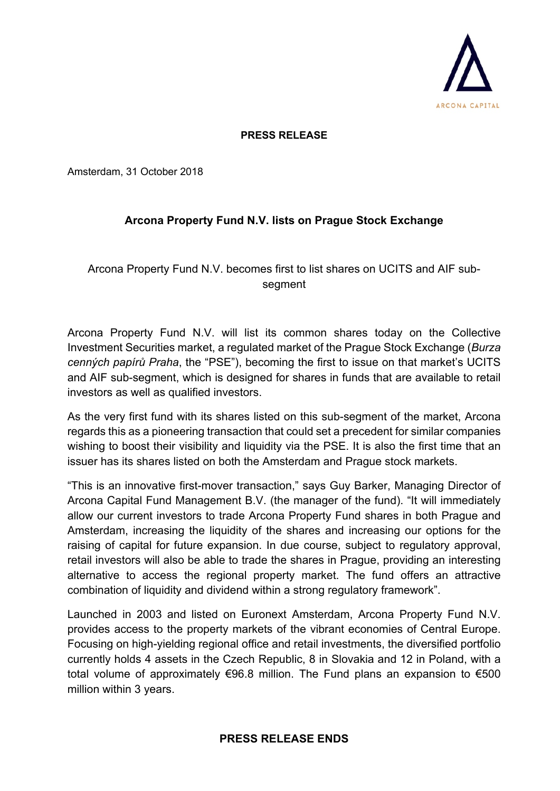

## **PRESS RELEASE**

Amsterdam, 31 October 2018

## **Arcona Property Fund N.V. lists on Prague Stock Exchange**

## Arcona Property Fund N.V. becomes first to list shares on UCITS and AIF subsegment

Arcona Property Fund N.V. will list its common shares today on the Collective Investment Securities market, a regulated market of the Prague Stock Exchange (*Burza cenných papírů Praha*, the "PSE"), becoming the first to issue on that market's UCITS and AIF sub-segment, which is designed for shares in funds that are available to retail investors as well as qualified investors.

As the very first fund with its shares listed on this sub-segment of the market, Arcona regards this as a pioneering transaction that could set a precedent for similar companies wishing to boost their visibility and liquidity via the PSE. It is also the first time that an issuer has its shares listed on both the Amsterdam and Prague stock markets.

"This is an innovative first-mover transaction," says Guy Barker, Managing Director of Arcona Capital Fund Management B.V. (the manager of the fund). "It will immediately allow our current investors to trade Arcona Property Fund shares in both Prague and Amsterdam, increasing the liquidity of the shares and increasing our options for the raising of capital for future expansion. In due course, subject to regulatory approval, retail investors will also be able to trade the shares in Prague, providing an interesting alternative to access the regional property market. The fund offers an attractive combination of liquidity and dividend within a strong regulatory framework".

Launched in 2003 and listed on Euronext Amsterdam, Arcona Property Fund N.V. provides access to the property markets of the vibrant economies of Central Europe. Focusing on high-yielding regional office and retail investments, the diversified portfolio currently holds 4 assets in the Czech Republic, 8 in Slovakia and 12 in Poland, with a total volume of approximately €96.8 million. The Fund plans an expansion to €500 million within 3 years.